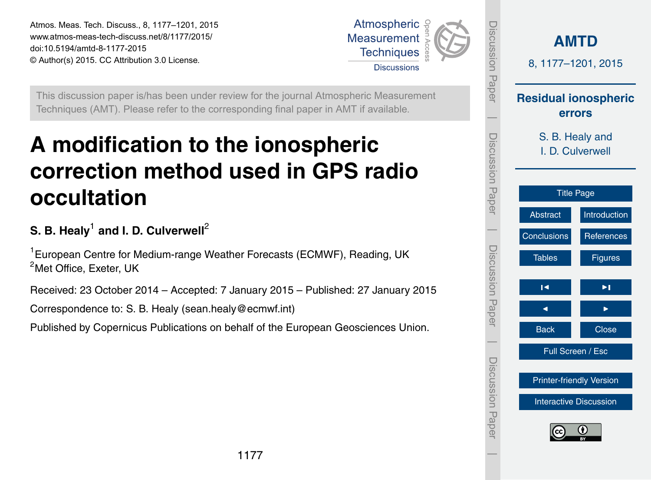<span id="page-0-0"></span>Atmos. Meas. Tech. Discuss., 8, 1177–1201, 2015 www.atmos-meas-tech-discuss.net/8/1177/2015/ doi:10.5194/amtd-8-1177-2015 © Author(s) 2015. CC Attribution 3.0 License.



This discussion paper is/has been under review for the journal Atmospheric Measurement Techniques (AMT). Please refer to the corresponding final paper in AMT if available.

# **A modification to the ionospheric correction method used in GPS radio occultation**

# ${\mathbf S}.$  B. Healy $^1$  and I. D. Culverwell $^2$

<sup>1</sup> European Centre for Medium-range Weather Forecasts (ECMWF), Reading, UK  $2^2$ Met Office, Exeter, UK

Received: 23 October 2014 – Accepted: 7 January 2015 – Published: 27 January 2015

Correspondence to: S. B. Healy (sean.healy@ecmwf.int)

Published by Copernicus Publications on behalf of the European Geosciences Union.

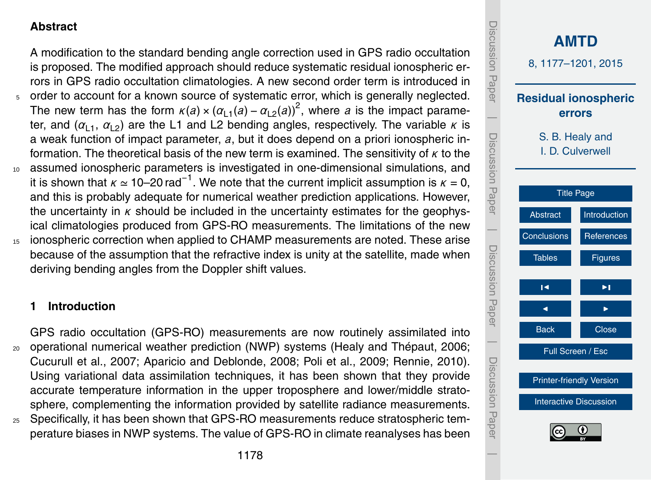## <span id="page-1-0"></span>**Abstract**

A modification to the standard bending angle correction used in GPS radio occultation is proposed. The modified approach should reduce systematic residual ionospheric errors in GPS radio occultation climatologies. A new second order term is introduced in <sup>5</sup> order to account for a known source of systematic error, which is generally neglected. The new term has the form  $\kappa(a) \times (\alpha_{11}(a) - \alpha_{12}(a))^2$ , where *a* is the impact parameter, and  $(\alpha_{1,1}, \alpha_{1,2})$  are the L1 and L2 bending angles, respectively. The variable  $\kappa$  is a weak function of impact parameter, *a*, but it does depend on a priori ionospheric information. The theoretical basis of the new term is examined. The sensitivity of *κ* to the <sup>10</sup> assumed ionospheric parameters is investigated in one-dimensional simulations, and it is shown that  $\kappa \simeq 10$ –20 rad<sup>-1</sup>. We note that the current implicit assumption is  $\kappa = 0$ , and this is probably adequate for numerical weather prediction applications. However, the uncertainty in *κ* should be included in the uncertainty estimates for the geophysical climatologies produced from GPS-RO measurements. The limitations of the new ionospheric correction when applied to CHAMP measurements are noted. These arise because of the assumption that the refractive index is unity at the satellite, made when deriving bending angles from the Doppler shift values.

#### **1 Introduction**

GPS radio occultation (GPS-RO) measurements are now routinely assimilated into <sup>20</sup> operational numerical weather prediction (NWP) systems [\(Healy and Thépaut,](#page-17-0) [2006;](#page-17-0) [Cucurull et al.,](#page-16-0) [2007;](#page-16-0) [Aparicio and Deblonde,](#page-16-0) [2008;](#page-16-0) [Poli et al.,](#page-17-0) [2009;](#page-17-0) [Rennie,](#page-17-0) [2010\)](#page-17-0). Using variational data assimilation techniques, it has been shown that they provide accurate temperature information in the upper troposphere and lower/middle stratosphere, complementing the information provided by satellite radiance measurements.

<sup>25</sup> Specifically, it has been shown that GPS-RO measurements reduce stratospheric temperature biases in NWP systems. The value of GPS-RO in climate reanalyses has been

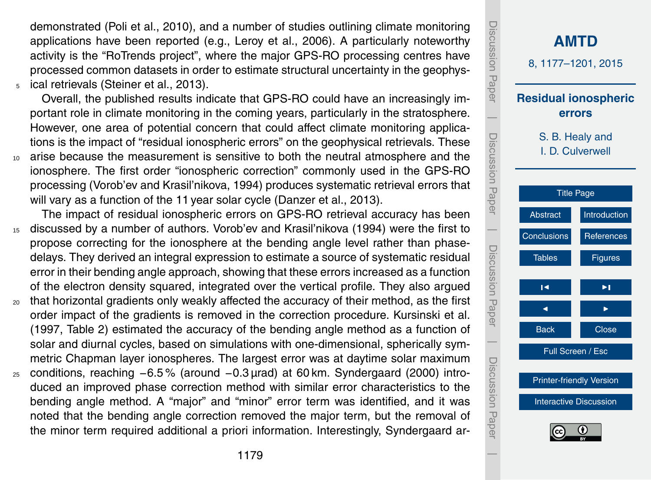<span id="page-2-0"></span>demonstrated [\(Poli et al.,](#page-17-0) [2010\)](#page-17-0), and a number of studies outlining climate monitoring applications have been reported (e.g., [Leroy et al.,](#page-17-0) [2006\)](#page-17-0). A particularly noteworthy activity is the "RoTrends project", where the major GPS-RO processing centres have processed common datasets in order to estimate structural uncertainty in the geophys-<sup>5</sup> ical retrievals [\(Steiner et al.,](#page-17-0) [2013\)](#page-17-0).

Overall, the published results indicate that GPS-RO could have an increasingly important role in climate monitoring in the coming years, particularly in the stratosphere. However, one area of potential concern that could affect climate monitoring applications is the impact of "residual ionospheric errors" on the geophysical retrievals. These <sup>10</sup> arise because the measurement is sensitive to both the neutral atmosphere and the ionosphere. The first order "ionospheric correction" commonly used in the GPS-RO processing [\(Vorob'ev and Krasil'nikova,](#page-18-0) [1994\)](#page-18-0) produces systematic retrieval errors that will vary as a function of the 11 year solar cycle [\(Danzer et al.,](#page-16-0) [2013\)](#page-16-0).

The impact of residual ionospheric errors on GPS-RO retrieval accuracy has been <sup>15</sup> discussed by a number of authors. [Vorob'ev and Krasil'nikova](#page-18-0) [\(1994\)](#page-18-0) were the first to propose correcting for the ionosphere at the bending angle level rather than phasedelays. They derived an integral expression to estimate a source of systematic residual error in their bending angle approach, showing that these errors increased as a function of the electron density squared, integrated over the vertical profile. They also argued

- <sub>20</sub> that horizontal gradients only weakly affected the accuracy of their method, as the first order impact of the gradients is removed in the correction procedure. Kursinski et al. (1997, Table 2) estimated the accuracy of the bending angle method as a function of solar and diurnal cycles, based on simulations with one-dimensional, spherically symmetric Chapman layer ionospheres. The largest error was at daytime solar maximum
- <sup>25</sup> conditions, reaching −6.5 % (around −0.3 µrad) at 60 km. [Syndergaard](#page-17-0) [\(2000\)](#page-17-0) introduced an improved phase correction method with similar error characteristics to the bending angle method. A "major" and "minor" error term was identified, and it was noted that the bending angle correction removed the major term, but the removal of the minor term required additional a priori information. Interestingly, Syndergaard ar-

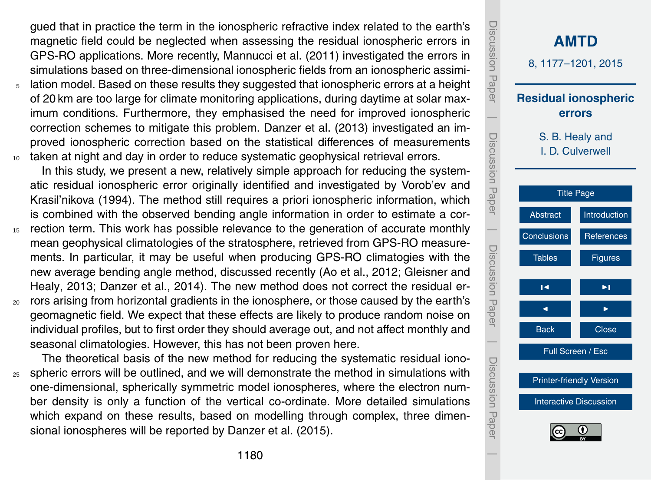<span id="page-3-0"></span>gued that in practice the term in the ionospheric refractive index related to the earth's magnetic field could be neglected when assessing the residual ionospheric errors in GPS-RO applications. More recently, [Mannucci et al.](#page-17-0) [\(2011\)](#page-17-0) investigated the errors in simulations based on three-dimensional ionospheric fields from an ionospheric assimi-

<sup>5</sup> lation model. Based on these results they suggested that ionospheric errors at a height of 20 km are too large for climate monitoring applications, during daytime at solar maximum conditions. Furthermore, they emphasised the need for improved ionospheric correction schemes to mitigate this problem. [Danzer et al.](#page-16-0) [\(2013\)](#page-16-0) investigated an improved ionospheric correction based on the statistical differences of measurements <sup>10</sup> taken at night and day in order to reduce systematic geophysical retrieval errors.

In this study, we present a new, relatively simple approach for reducing the systematic residual ionospheric error originally identified and investigated by Vorob'ev and Krasil'nikova (1994). The method still requires a priori ionospheric information, which is combined with the observed bending angle information in order to estimate a cor-

- <sup>15</sup> rection term. This work has possible relevance to the generation of accurate monthly mean geophysical climatologies of the stratosphere, retrieved from GPS-RO measurements. In particular, it may be useful when producing GPS-RO climatogies with the [n](#page-16-0)ew average bending angle method, discussed recently [\(Ao et al.,](#page-16-0) [2012;](#page-16-0) [Gleisner and](#page-16-0) [Healy,](#page-16-0) [2013;](#page-16-0) [Danzer et al.,](#page-16-0) [2014\)](#page-16-0). The new method does not correct the residual er-
- <sup>20</sup> rors arising from horizontal gradients in the ionosphere, or those caused by the earth's geomagnetic field. We expect that these effects are likely to produce random noise on individual profiles, but to first order they should average out, and not affect monthly and seasonal climatologies. However, this has not been proven here.

The theoretical basis of the new method for reducing the systematic residual iono- $25$  spheric errors will be outlined, and we will demonstrate the method in simulations with one-dimensional, spherically symmetric model ionospheres, where the electron number density is only a function of the vertical co-ordinate. More detailed simulations which expand on these results, based on modelling through complex, three dimensional ionospheres will be reported by [Danzer et al.](#page-16-0) [\(2015\)](#page-16-0).

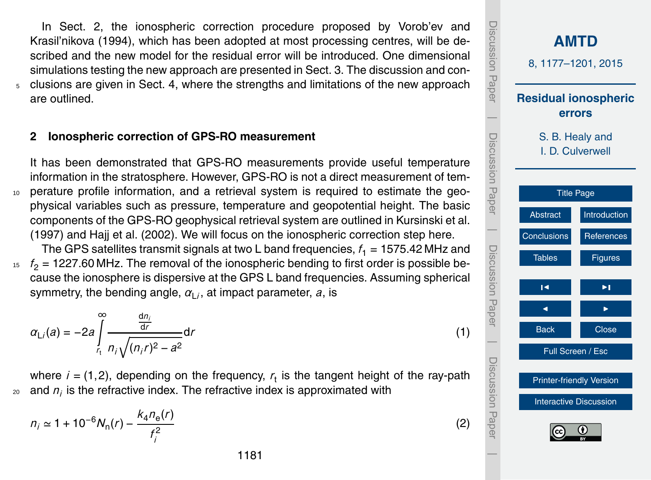<span id="page-4-0"></span>In Sect. 2, the ionospheric correction procedure proposed by Vorob'ev and Krasil'nikova (1994), which has been adopted at most processing centres, will be described and the new model for the residual error will be introduced. One dimensional simulations testing the new approach are presented in Sect. [3.](#page-7-0) The discussion and con-<sup>5</sup> clusions are given in Sect. [4,](#page-9-0) where the strengths and limitations of the new approach are outlined.

#### **2 Ionospheric correction of GPS-RO measurement**

It has been demonstrated that GPS-RO measurements provide useful temperature information in the stratosphere. However, GPS-RO is not a direct measurement of tem-<sup>10</sup> perature profile information, and a retrieval system is required to estimate the geophysical variables such as pressure, temperature and geopotential height. The basic components of the GPS-RO geophysical retrieval system are outlined in Kursinski et al. (1997) and [Hajj et al.](#page-17-0) [\(2002\)](#page-17-0). We will focus on the ionospheric correction step here.

The GPS satellites transmit signals at two L band frequencies,  $f_1 = 1575.42$  MHz and  $f<sub>2</sub> = 1227.60$  MHz. The removal of the ionospheric bending to first order is possible because the ionosphere is dispersive at the GPS L band frequencies. Assuming spherical symmetry, the bending angle,  $\alpha_{\mathsf{L}^{\prime}}$ , at impact parameter, *a*, is

$$
\alpha_{\text{L}i}(a) = -2a \int_{r_1}^{\infty} \frac{\frac{d n_i}{d r}}{n_i \sqrt{(n_i r)^2 - a^2}} dr \tag{1}
$$

where  $i = (1, 2)$ , depending on the frequency,  $r_t$  is the tangent height of the ray-path  $_{\text{20}}$  and  $n_{\scriptscriptstyle f}$  is the refractive index. The refractive index is approximated with

$$
n_i \simeq 1 + 10^{-6} N_n(r) - \frac{k_4 n_e(r)}{f_i^2}
$$

Discussion Paper Discussion Paper**[AMTD](http://www.atmos-meas-tech-discuss.net)** 8, 1177–1201, 2015 **Residual ionospheric errors**  $\overline{\phantom{a}}$  Discussion PaperS. B. Healy and Discussion I. D. Culverwell Paper [Title Page](#page-0-0) [Abstract](#page-1-0) [Introduction](#page-1-0)  $\overline{\phantom{a}}$ [Conclusions](#page-9-0) [References](#page-16-0) Discussion PaperDiscussion Paper Tables **[Figures](#page-19-0)**  $\blacksquare$ J I Back **I** Close  $\overline{\phantom{a}}$ Full Screen / Esc Discussion PaperDiscussion Pape [Printer-friendly Version](http://www.atmos-meas-tech-discuss.net/8/1177/2015/amtd-8-1177-2015-print.pdf) [Interactive Discussion](http://www.atmos-meas-tech-discuss.net/8/1177/2015/amtd-8-1177-2015-discussion.html)  $\overline{\phantom{a}}$ 

(2)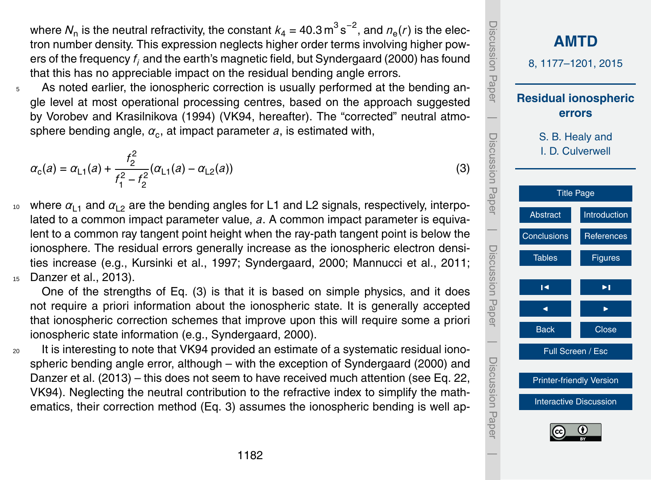<span id="page-5-0"></span>where  $\mathcal{N}_\text{n}$  is the neutral refractivity, the constant  $k_4$  = 40.3  $\text{m}^3\,\text{s}^{-2}$ , and  $n_\text{e}(r)$  is the electron number density. This expression neglects higher order terms involving higher powers of the frequency *f <sup>i</sup>* and the earth's magnetic field, but Syndergaard (2000) has found that this has no appreciable impact on the residual bending angle errors.

 $5$  As noted earlier, the ionospheric correction is usually performed at the bending angle level at most operational processing centres, based on the approach suggested by Vorobev and Krasilnikova (1994) (VK94, hereafter). The "corrected" neutral atmo- ${\sf sphere}$  bending angle,  $\alpha_{\rm c}$ , at impact parameter  $a$ , is estimated with,

$$
\alpha_{\rm c}(a) = \alpha_{\rm L1}(a) + \frac{f_2^2}{f_1^2 - f_2^2} (\alpha_{\rm L1}(a) - \alpha_{\rm L2}(a)) \tag{3}
$$

<sup>10</sup> where  $\alpha_{11}$  and  $\alpha_{12}$  are the bending angles for L1 and L2 signals, respectively, interpolated to a common impact parameter value, *a*. A common impact parameter is equivalent to a common ray tangent point height when the ray-path tangent point is below the ionosphere. The residual errors generally increase as the ionospheric electron densities increase (e.g., Kursinki et al., 1997; Syndergaard, 2000; Mannucci et al., 2011; <sup>15</sup> Danzer et al., 2013).

One of the strengths of Eq. (3) is that it is based on simple physics, and it does not require a priori information about the ionospheric state. It is generally accepted that ionospheric correction schemes that improve upon this will require some a priori ionospheric state information (e.g., Syndergaard, 2000).

<sub>20</sub> It is interesting to note that VK94 provided an estimate of a systematic residual ionospheric bending angle error, although – with the exception of Syndergaard (2000) and Danzer et al. (2013) – this does not seem to have received much attention (see Eq. 22, VK94). Neglecting the neutral contribution to the refractive index to simplify the mathematics, their correction method (Eq. 3) assumes the ionospheric bending is well ap-

**[AMTD](http://www.atmos-meas-tech-discuss.net)** 8, 1177–1201, 2015 **Residual ionospheric errors** S. B. Healy and I. D. Culverwell [Title Page](#page-0-0) [Abstract](#page-1-0) [Introduction](#page-1-0) [Conclusions](#page-9-0) [References](#page-16-0) Tables [Figures](#page-19-0) J I J I Back Close Full Screen / Esc [Printer-friendly Version](http://www.atmos-meas-tech-discuss.net/8/1177/2015/amtd-8-1177-2015-print.pdf) [Interactive Discussion](http://www.atmos-meas-tech-discuss.net/8/1177/2015/amtd-8-1177-2015-discussion.html) Discussion Paper | Discussion Paper | Discussion Paper | Discussion Paper|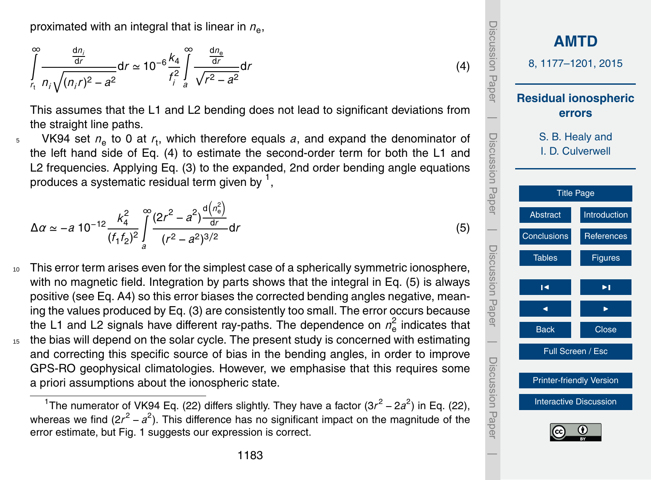proximated with an integral that is linear in  $n_{\rm e}$ ,

$$
\int_{r_1}^{\infty} \frac{\frac{dn_i}{dr}}{n_i \sqrt{(n_i r)^2 - a^2}} dr \simeq 10^{-6} \frac{k_4}{f_i^2} \int_{a}^{\infty} \frac{\frac{dn_e}{dr}}{\sqrt{r^2 - a^2}} dr \tag{4}
$$

This assumes that the L1 and L2 bending does not lead to significant deviations from the straight line paths.

<sup>5</sup> VK94 set  $n_e$  to 0 at  $r_t$ , which therefore equals *a*, and expand the denominator of the left hand side of Eq. (4) to estimate the second-order term for both the L1 and L2 frequencies. Applying Eq. [\(3\)](#page-5-0) to the expanded, 2nd order bending angle equations produces a systematic residual term given by  $^{\mathsf{1}},$ 

$$
\Delta \alpha \simeq -a \; 10^{-12} \frac{k_4^2}{(f_1 f_2)^2} \int\limits_{a}^{\infty} \frac{(2r^2 - a^2) \frac{d(n_0^2)}{dr}}{(r^2 - a^2)^{3/2}} dr \tag{5}
$$

<sup>10</sup> This error term arises even for the simplest case of a spherically symmetric ionosphere, with no magnetic field. Integration by parts shows that the integral in Eq. (5) is always positive (see Eq. [A4\)](#page-12-0) so this error biases the corrected bending angles negative, meaning the values produced by Eq. [\(3\)](#page-5-0) are consistently too small. The error occurs because the L1 and L2 signals have different ray-paths. The dependence on *n* 2  $\frac{2}{e}$  indicates that <sup>15</sup> the bias will depend on the solar cycle. The present study is concerned with estimating and correcting this specific source of bias in the bending angles, in order to improve GPS-RO geophysical climatologies. However, we emphasise that this requires some a priori assumptions about the ionospheric state.

<span id="page-6-0"></span><sup>&</sup>lt;sup>1</sup>The numerator of VK94 Eq. (22) differs slightly. They have a factor (3r<sup>2</sup> – 2a<sup>2</sup>) in Eq. (22), whereas we find (2r<sup>2</sup> – a<sup>2</sup>). This difference has no significant impact on the magnitude of the error estimate, but Fig. [1](#page-19-0) suggests our expression is correct.

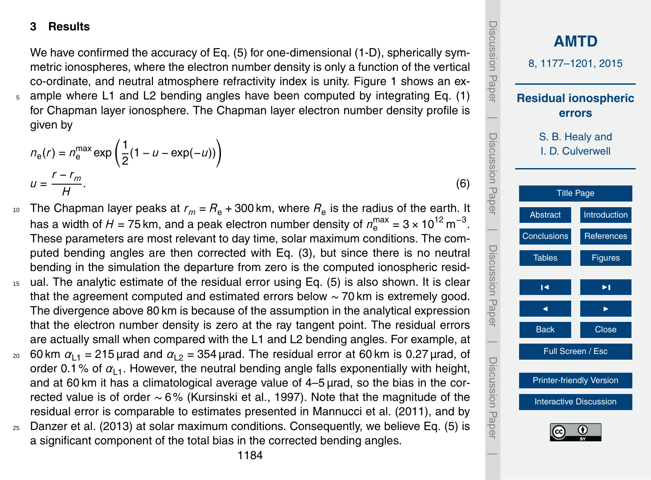### <span id="page-7-0"></span>**3 Results**

We have confirmed the accuracy of Eq. [\(5\)](#page-6-0) for one-dimensional (1-D), spherically symmetric ionospheres, where the electron number density is only a function of the vertical co-ordinate, and neutral atmosphere refractivity index is unity. Figure [1](#page-19-0) shows an ex-<sup>5</sup> ample where L1 and L2 bending angles have been computed by integrating Eq. [\(1\)](#page-4-0)

for Chapman layer ionosphere. The Chapman layer electron number density profile is given by

$$
n_{e}(r) = n_{e}^{\max} \exp\left(\frac{1}{2}(1 - u - \exp(-u))\right)
$$
  

$$
u = \frac{r - r_{m}}{H}.
$$
 (6)

- $_{10}$  The Chapman layer peaks at  $r_m$  =  $R_e$  + 300 km, where  $R_e$  is the radius of the earth. It has a width of  $H$  = 75 km, and a peak electron number density of  $n_{\rm e}^{\rm max}$  = 3  $\times$  10<sup>12</sup> m<sup>-3</sup>. These parameters are most relevant to day time, solar maximum conditions. The computed bending angles are then corrected with Eq. [\(3\)](#page-5-0), but since there is no neutral bending in the simulation the departure from zero is the computed ionospheric resid-
- <sup>15</sup> ual. The analytic estimate of the residual error using Eq. [\(5\)](#page-6-0) is also shown. It is clear that the agreement computed and estimated errors below ∼ 70 km is extremely good. The divergence above 80 km is because of the assumption in the analytical expression that the electron number density is zero at the ray tangent point. The residual errors are actually small when compared with the L1 and L2 bending angles. For example, at
- <sup>20</sup> 60 km  $\alpha_{1,1}$  = 215 μrad and  $\alpha_{1,2}$  = 354 μrad. The residual error at 60 km is 0.27 μrad, of order 0.1% of  $a_{1,1}$ . However, the neutral bending angle falls exponentially with height, and at 60 km it has a climatological average value of 4–5 µrad, so the bias in the corrected value is of order ∼ 6% (Kursinski et al., 1997). Note that the magnitude of the residual error is comparable to estimates presented in Mannucci et al. (2011), and by
- <sup>25</sup> Danzer et al. (2013) at solar maximum conditions. Consequently, we believe Eq. [\(5\)](#page-6-0) is a significant component of the total bias in the corrected bending angles.

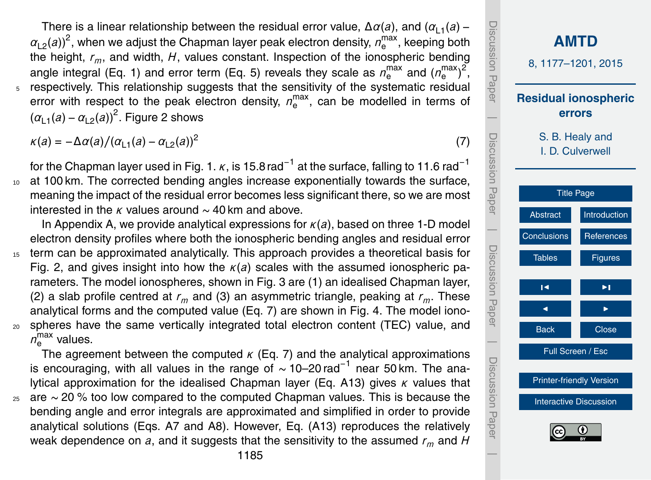<span id="page-8-0"></span>There is a linear relationship between the residual error value,  $\Delta \alpha(a)$ , and  $(\alpha_{1,1}(a) \alpha_{\textsf{L2}}(\textit{a}))^2$ , when we adjust the Chapman layer peak electron density,  $\textit{n}_{\textsf{e}}^{\textsf{max}}$  $_{\rm e}^{\rm max}$ , keeping both the height, *rm*, and width, *H*, values constant. Inspection of the ionospheric bending angle integral (Eq. [1\)](#page-4-0) and error term (Eq. [5\)](#page-6-0) reveals they scale as  $n_{\rm e}^{\rm max}$  and ( $n_{\rm e}^{\rm max}$ max<sub>)</sub>2, respectively. This relationship suggests that the sensitivity of the systematic residual error with respect to the peak electron density,  $n_{\rm e}^{\rm max}$  $_{\rm e}^{\rm max}$ , can be modelled in terms of  $(\alpha_{L1}(a) - \alpha_{L2}(a))^2$  $(\alpha_{L1}(a) - \alpha_{L2}(a))^2$  $(\alpha_{L1}(a) - \alpha_{L2}(a))^2$ . Figure 2 shows

 $\kappa(a) = -\Delta a(a)/(\alpha_{1,1}(a) - \alpha_{1,2}(a))^2$ 

for the Chapman layer used in Fig. [1.](#page-19-0)  $\kappa$ , is 15.8 rad<sup>−1</sup> at the surface, falling to 11.6 rad<sup>−1</sup> <sup>10</sup> at 100 km. The corrected bending angles increase exponentially towards the surface, meaning the impact of the residual error becomes less significant there, so we are most interested in the *κ* values around ∼ 40 km and above.

In Appendix A, we provide analytical expressions for *κ*(*a*), based on three 1-D model electron density profiles where both the ionospheric bending angles and residual error <sup>15</sup> term can be approximated analytically. This approach provides a theoretical basis for Fig. [2,](#page-20-0) and gives insight into how the *κ*(*a*) scales with the assumed ionospheric parameters. The model ionospheres, shown in Fig. [3](#page-21-0) are (1) an idealised Chapman layer, (2) a slab profile centred at  $r_m$  and (3) an asymmetric triangle, peaking at  $r_m$ . These analytical forms and the computed value (Eq. 7) are shown in Fig. [4.](#page-22-0) The model iono-<sup>20</sup> spheres have the same vertically integrated total electron content (TEC) value, and  $n_{\rm e}^{\rm max}$  values.

The agreement between the computed *κ* (Eq. 7) and the analytical approximations is encouraging, with all values in the range of ∼ 10–20 rad−<sup>1</sup> near 50 km. The analytical approximation for the idealised Chapman layer (Eq. [A13\)](#page-14-0) gives *κ* values that <sup>25</sup> are ∼ 20 % too low compared to the computed Chapman values. This is because the bending angle and error integrals are approximated and simplified in order to provide analytical solutions (Eqs. [A7](#page-13-0) and [A8\)](#page-13-0). However, Eq. [\(A13\)](#page-14-0) reproduces the relatively weak dependence on *a*, and it suggests that the sensitivity to the assumed *r<sup>m</sup>* and *H*



(7)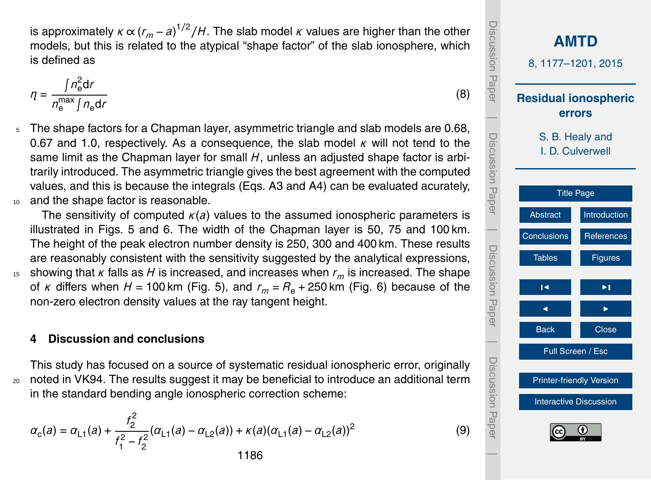<span id="page-9-0"></span>is approximately  $κ \propto (r_m - a)^{1/2}/H$ . The slab model  $κ$  values are higher than the other models, but this is related to the atypical "shape factor" of the slab ionosphere, which is defined as

$$
\eta = \frac{\int n_{\rm e}^2 \mathrm{d}r}{n_{\rm e}^{\max} \int n_{\rm e} \mathrm{d}r}
$$

5 The shape factors for a Chapman layer, asymmetric triangle and slab models are 0.68, 0.67 and 1.0, respectively. As a consequence, the slab model *κ* will not tend to the same limit as the Chapman layer for small *H*, unless an adjusted shape factor is arbitrarily introduced. The asymmetric triangle gives the best agreement with the computed values, and this is because the integrals (Eqs. [A3](#page-12-0) and [A4\)](#page-12-0) can be evaluated acurately, and the shape factor is reasonable.

The sensitivity of computed *κ*(*a*) values to the assumed ionospheric parameters is illustrated in Figs. [5](#page-23-0) and [6.](#page-24-0) The width of the Chapman layer is 50, 75 and 100 km. The height of the peak electron number density is 250, 300 and 400 km. These results are reasonably consistent with the sensitivity suggested by the analytical expressions, <sup>15</sup> showing that *κ* falls as *H* is increased, and increases when *r<sup>m</sup>* is increased. The shape of *κ* differs when  $H = 100$  km (Fig. [5\)](#page-23-0), and  $r_m = R_e + 250$  km (Fig. [6\)](#page-24-0) because of the non-zero electron density values at the ray tangent height.

# **4 Discussion and conclusions**

This study has focused on a source of systematic residual ionospheric error, originally <sub>20</sub> noted in VK94. The results suggest it may be beneficial to introduce an additional term in the standard bending angle ionospheric correction scheme:

$$
\alpha_{\rm c}(a) = \alpha_{\rm L1}(a) + \frac{f_2^2}{f_1^2 - f_2^2} (\alpha_{\rm L1}(a) - \alpha_{\rm L2}(a)) + \kappa(a)(\alpha_{\rm L1}(a) - \alpha_{\rm L2}(a))^2
$$
1186

**[AMTD](http://www.atmos-meas-tech-discuss.net)** 8, 1177–1201, 2015 **Residual ionospheric errors** S. B. Healy and I. D. Culverwell [Title Page](#page-0-0) [Abstract](#page-1-0) [Introduction](#page-1-0) Conclusions [References](#page-16-0) Tables [Figures](#page-19-0) J I J I Back Close Full Screen / Esc [Printer-friendly Version](http://www.atmos-meas-tech-discuss.net/8/1177/2015/amtd-8-1177-2015-print.pdf) [Interactive Discussion](http://www.atmos-meas-tech-discuss.net/8/1177/2015/amtd-8-1177-2015-discussion.html) Discussion Paper | Discussion Paper | Discussion Paper | Discussion Paper|

(8)

(9)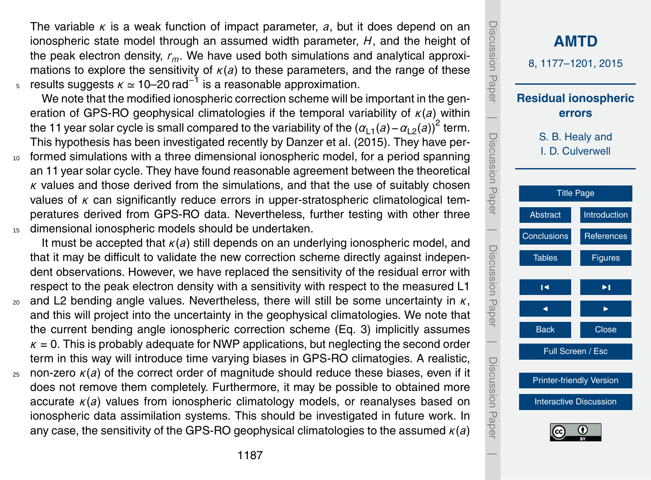The variable *κ* is a weak function of impact parameter, *a*, but it does depend on an ionospheric state model through an assumed width parameter, *H*, and the height of the peak electron density, *rm*. We have used both simulations and analytical approximations to explore the sensitivity of  $\kappa(a)$  to these parameters, and the range of these <sup>5</sup> results suggests *κ* ≃ 10–20 rad<sup>-1</sup> is a reasonable approximation.

We note that the modified ionospheric correction scheme will be important in the generation of GPS-RO geophysical climatologies if the temporal variability of *κ*(*a*) within the 11 year solar cycle is small compared to the variability of the  $\left( \alpha_{\mathsf{L}1}(a)-\alpha_{\mathsf{L}2}(a)\right)^2$  term. This hypothesis has been investigated recently by Danzer et al. (2015). They have per-

<sup>10</sup> formed simulations with a three dimensional ionospheric model, for a period spanning an 11 year solar cycle. They have found reasonable agreement between the theoretical *κ* values and those derived from the simulations, and that the use of suitably chosen values of *κ* can significantly reduce errors in upper-stratospheric climatological temperatures derived from GPS-RO data. Nevertheless, further testing with other three <sup>15</sup> dimensional ionospheric models should be undertaken.

It must be accepted that *κ*(*a*) still depends on an underlying ionospheric model, and that it may be difficult to validate the new correction scheme directly against independent observations. However, we have replaced the sensitivity of the residual error with respect to the peak electron density with a sensitivity with respect to the measured L1

- $20$  and L2 bending angle values. Nevertheless, there will still be some uncertainty in  $K$ , and this will project into the uncertainty in the geophysical climatologies. We note that the current bending angle ionospheric correction scheme (Eq. [3\)](#page-5-0) implicitly assumes  $K = 0$ . This is probably adequate for NWP applications, but neglecting the second order term in this way will introduce time varying biases in GPS-RO climatogies. A realistic,
- <sup>25</sup> non-zero *κ*(*a*) of the correct order of magnitude should reduce these biases, even if it does not remove them completely. Furthermore, it may be possible to obtained more accurate *κ*(*a*) values from ionospheric climatology models, or reanalyses based on ionospheric data assimilation systems. This should be investigated in future work. In any case, the sensitivity of the GPS-RO geophysical climatologies to the assumed *κ*(*a*)

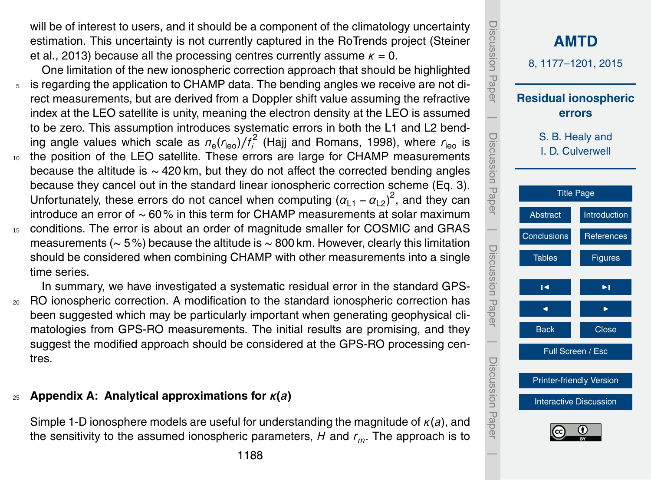<span id="page-11-0"></span>will be of interest to users, and it should be a component of the climatology uncertainty estimation. This uncertainty is not currently captured in the RoTrends project (Steiner et al., 2013) because all the processing centres currently assume  $\kappa = 0$ .

One limitation of the new ionospheric correction approach that should be highlighted <sup>5</sup> is regarding the application to CHAMP data. The bending angles we receive are not direct measurements, but are derived from a Doppler shift value assuming the refractive index at the LEO satellite is unity, meaning the electron density at the LEO is assumed to be zero. This assumption introduces systematic errors in both the L1 and L2 bending angle values which scale as  $n_e(r_{\rm leo})/f_i^2$  [\(Hajj and Romans,](#page-17-0) [1998\)](#page-17-0), where  $r_{\rm leo}$  is <sup>10</sup> the position of the LEO satellite. These errors are large for CHAMP measurements because the altitude is ∼ 420 km, but they do not affect the corrected bending angles because they cancel out in the standard linear ionospheric correction scheme (Eq. [3\)](#page-5-0). Unfortunately, these errors do not cancel when computing  $(\alpha_{L1} - \alpha_{L2})^2$ , and they can introduce an error of ∼ 60% in this term for CHAMP measurements at solar maximum

<sup>15</sup> conditions. The error is about an order of magnitude smaller for COSMIC and GRAS measurements (∼ 5%) because the altitude is ∼ 800 km. However, clearly this limitation should be considered when combining CHAMP with other measurements into a single time series.

In summary, we have investigated a systematic residual error in the standard GPS-<sub>20</sub> RO ionospheric correction. A modification to the standard ionospheric correction has been suggested which may be particularly important when generating geophysical climatologies from GPS-RO measurements. The initial results are promising, and they suggest the modified approach should be considered at the GPS-RO processing centres.

# <sup>25</sup> **Appendix A: Analytical approximations for** *κ***(***a***)**

Simple 1-D ionosphere models are useful for understanding the magnitude of *κ*(*a*), and the sensitivity to the assumed ionospheric parameters, *H* and *rm*. The approach is to

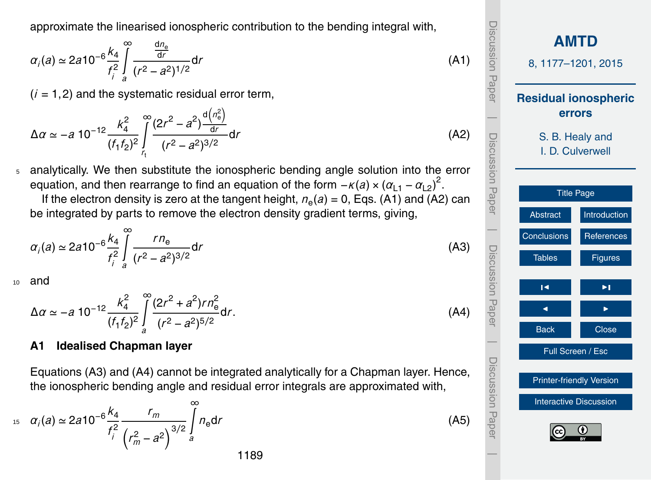<span id="page-12-0"></span>approximate the linearised ionospheric contribution to the bending integral with,

$$
\alpha_i(a) \simeq 2a 10^{-6} \frac{k_4}{f_i^2} \int\limits_{a}^{\infty} \frac{\frac{dn_e}{dr}}{(r^2 - a^2)^{1/2}} dr \tag{A1}
$$

 $(i = 1, 2)$  and the systematic residual error term,

$$
\Delta \alpha \simeq -a \ 10^{-12} \frac{k_4^2}{(f_1 f_2)^2} \int_{r_1}^{\infty} \frac{(2r^2 - a^2) \frac{d(n_e^2)}{dr}}{(r^2 - a^2)^{3/2}} dr \tag{A2}
$$

<sup>5</sup> analytically. We then substitute the ionospheric bending angle solution into the error equation, and then rearrange to find an equation of the form  $-\kappa(a) \times (\alpha_{L1} - \alpha_{L2})^2$ .

If the electron density is zero at the tangent height,  $n_e(a) = 0$ , Eqs. (A1) and (A2) can be integrated by parts to remove the electron density gradient terms, giving,

$$
\alpha_i(a) \simeq 2a 10^{-6} \frac{k_4}{f_i^2} \int_{a}^{\infty} \frac{rn_e}{(r^2 - a^2)^{3/2}} dr \tag{A3}
$$

<sup>10</sup> and

#### $\Delta \alpha \simeq -a \; 10^{-12} \frac{k_4^2}{\sqrt{6}}$ 4  $(f_1 f_2)^2$ ∞<br>∫ *a*  $(2r^2 + a^2)rn_e^2$ (*r* <sup>2</sup> − *a* 2) 5*/*2 d*r*. (A4)

### **A1 Idealised Chapman layer**

Equations (A3) and (A4) cannot be integrated analytically for a Chapman layer. Hence, the ionospheric bending angle and residual error integrals are approximated with,

$$
a_{i}(a) \simeq 2a10^{-6} \frac{k_4}{f_i^2} \frac{r_m}{\left(r_m^2 - a^2\right)^{3/2}} \int_{a}^{\infty} n_{e} dr
$$
 (A5)

**[AMTD](http://www.atmos-meas-tech-discuss.net)** 8, 1177–1201, 2015 **Residual ionospheric errors** S. B. Healy and I. D. Culverwell [Title Page](#page-0-0) [Abstract](#page-1-0) [Introduction](#page-1-0) [Conclusions](#page-9-0) [References](#page-16-0) Tables [Figures](#page-19-0) J I J I Back Close Full Screen / Esc [Printer-friendly Version](http://www.atmos-meas-tech-discuss.net/8/1177/2015/amtd-8-1177-2015-print.pdf) [Interactive Discussion](http://www.atmos-meas-tech-discuss.net/8/1177/2015/amtd-8-1177-2015-discussion.html) Discussion Paper | Discussion Paper | Discussion Paper | Discussion Paper|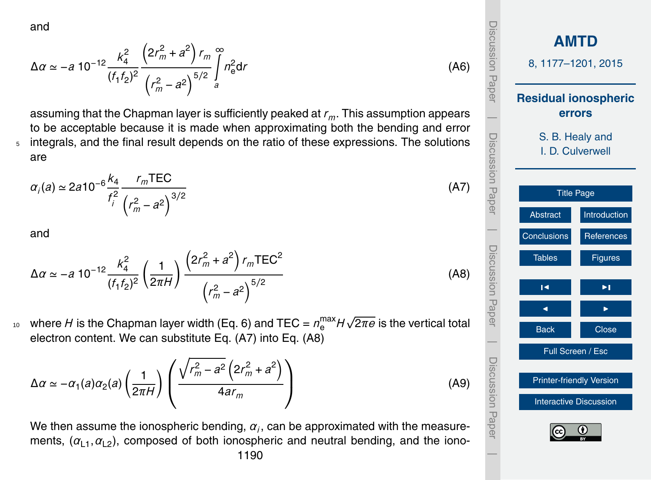<span id="page-13-0"></span>and

$$
\Delta \alpha \simeq -a \; 10^{-12} \frac{k_4^2}{(f_1 f_2)^2} \frac{\left(2r_m^2 + a^2\right) r_m}{\left(r_m^2 - a^2\right)^{5/2}} \int_a^{\infty} n_e^2 \, dr \tag{A6}
$$

assuming that the Chapman layer is sufficiently peaked at *rm*. This assumption appears to be acceptable because it is made when approximating both the bending and error <sup>5</sup> integrals, and the final result depends on the ratio of these expressions. The solutions are

$$
\alpha_i(a) \approx 2a10^{-6} \frac{k_4}{f_i^2} \frac{r_m \text{TEC}}{\left(r_m^2 - a^2\right)^{3/2}}
$$

and

$$
\Delta \alpha \simeq -a \ 10^{-12} \frac{k_4^2}{(f_1 f_2)^2} \left(\frac{1}{2\pi H}\right) \frac{\left(2r_m^2 + a^2\right) r_m \text{TEC}^2}{\left(r_m^2 - a^2\right)^{5/2}}
$$
\n(A8)

where  $H$  is the Chapman layer width (Eq. [6\)](#page-7-0) and TEC =  $n_{\rm e}^{\rm max}H$ √  $10$  where H is the Chapman layer width (Eq. 6) and TEC =  $n_{\rm e}^{\rm max}$ H $\sqrt{2\pi e}$  is the vertical total electron content. We can substitute Eq. (A7) into Eq. (A8)

$$
\Delta \alpha \simeq -\alpha_1(a)\alpha_2(a)\left(\frac{1}{2\pi H}\right)\left(\frac{\sqrt{r_m^2 - a^2}\left(2r_m^2 + a^2\right)}{4ar_m}\right) \tag{A9}
$$

We then assume the ionospheric bending,  $\alpha_i$ , can be approximated with the measurements,  $(a_{11}, a_{12})$ , composed of both ionospheric and neutral bending, and the iono-1190

Discussion Paper Discussion Paper**[AMTD](http://www.atmos-meas-tech-discuss.net)** 8, 1177–1201, 2015 **Residual ionospheric errors**  $\overline{\phantom{a}}$  Discussion PaperDiscussion Paper S. B. Healy and I. D. Culverwell [Title Page](#page-0-0) [Abstract](#page-1-0) [Introduction](#page-1-0)  $\overline{\phantom{a}}$ [Conclusions](#page-9-0) [References](#page-16-0) Discussion PaperDiscussion Paper Tables **[Figures](#page-19-0)**  $\blacksquare$ J I Back **I** Close  $\overline{\phantom{a}}$ Full Screen / Esc Discussion PaperDiscussion Paper [Printer-friendly Version](http://www.atmos-meas-tech-discuss.net/8/1177/2015/amtd-8-1177-2015-print.pdf) [Interactive Discussion](http://www.atmos-meas-tech-discuss.net/8/1177/2015/amtd-8-1177-2015-discussion.html)  $\overline{\phantom{a}}$ 

(A7)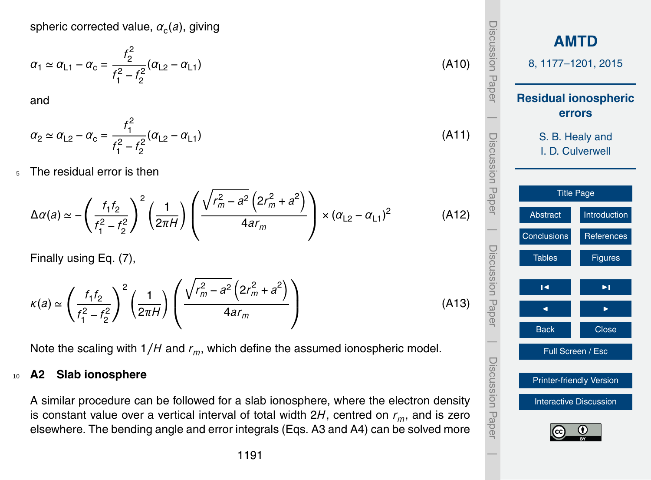$$
\alpha_1 \simeq \alpha_{L1} - \alpha_c = \frac{2}{f_1^2 - f_2^2} (\alpha_{L2} - \alpha_{L1})
$$
\n(A10)

and

$$
\alpha_2 \simeq \alpha_{L2} - \alpha_c = \frac{f_1^2}{f_1^2 - f_2^2} (\alpha_{L2} - \alpha_{L1})
$$
\n(A11)

<span id="page-14-0"></span>spheric corrected value,  $\alpha_{\rm c} (a)$ , giving

<sup>5</sup> The residual error is then

$$
\Delta \alpha(a) \simeq -\left(\frac{f_1 f_2}{f_1^2 - f_2^2}\right)^2 \left(\frac{1}{2\pi H}\right) \left(\frac{\sqrt{r_m^2 - a^2} \left(2r_m^2 + a^2\right)}{4ar_m}\right) \times \left(\alpha_{L2} - \alpha_{L1}\right)^2 \tag{A12}
$$

Finally using Eq. [\(7\)](#page-8-0),

$$
\kappa(a) \simeq \left(\frac{f_1 f_2}{f_1^2 - f_2^2}\right)^2 \left(\frac{1}{2\pi H}\right) \left(\frac{\sqrt{r_m^2 - a^2} \left(2r_m^2 + a^2\right)}{4ar_m}\right)
$$
(A13)

Note the scaling with 1*/H* and *rm*, which define the assumed ionospheric model.

#### <sup>10</sup> **A2 Slab ionosphere**

A similar procedure can be followed for a slab ionosphere, where the electron density is constant value over a vertical interval of total width 2*H*, centred on *rm*, and is zero elsewhere. The bending angle and error integrals (Eqs. [A3](#page-12-0) and [A4\)](#page-12-0) can be solved more

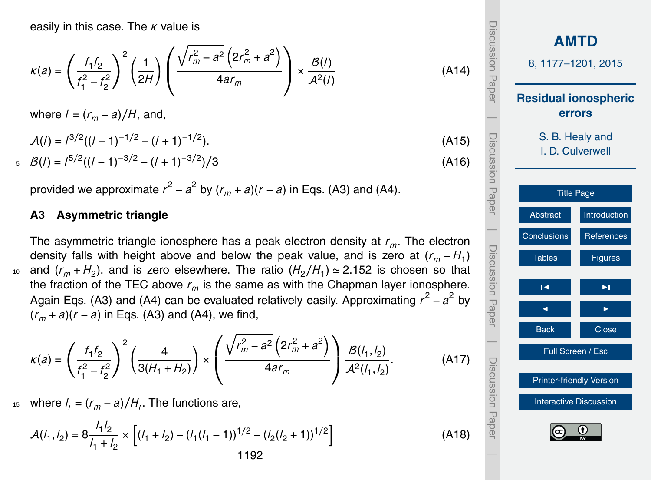<span id="page-15-0"></span>easily in this case. The *κ* value is

$$
\kappa(a)=\left(\frac{f_1f_2}{f_1^2-f_2^2}\right)^2\left(\frac{1}{2H}\right)\left(\frac{\sqrt{r_m^2-a^2}\left(2r_m^2+a^2\right)}{4ar_m}\right)\times\frac{\mathcal{B}(I)}{\mathcal{A}^2(I)}
$$

where  $l = (r_m - a)/H$ , and,

$$
A(l) = l^{3/2}((l-1)^{-1/2} - (l+1)^{-1/2}).
$$
\n(A15)

$$
5 \quad \mathcal{B}(l) = l^{5/2}((l-1)^{-3/2} - (l+1)^{-3/2})/3 \tag{A16}
$$

provided we approximate  $r^2 - a^2$  by  $(r_m + a)(r - a)$  in Eqs. [\(A3\)](#page-12-0) and [\(A4\)](#page-12-0).

#### **A3 Asymmetric triangle**

The asymmetric triangle ionosphere has a peak electron density at *rm*. The electron density falls with height above and below the peak value, and is zero at ( $r_m$ −H<sub>1</sub>)  $_{{\scriptscriptstyle 10}}$  and ( $r_{m}$  +  $H_{2}$ ), and is zero elsewhere. The ratio ( $H_{2}/H_{1}$ )  $\simeq$  2.152 is chosen so that the fraction of the TEC above  $r_m$  is the same as with the Chapman layer ionosphere. Again Eqs. [\(A3\)](#page-12-0) and [\(A4\)](#page-12-0) can be evaluated relatively easily. Approximating  $r^2 - a^2$  by (*r<sup>m</sup>* + *a*)(*r* − *a*) in Eqs. [\(A3\)](#page-12-0) and [\(A4\)](#page-12-0), we find,

$$
\kappa(a) = \left(\frac{f_1 f_2}{f_1^2 - f_2^2}\right)^2 \left(\frac{4}{3(H_1 + H_2)}\right) \times \left(\frac{\sqrt{r_m^2 - a^2} \left(2r_m^2 + a^2\right)}{4ar_m}\right) \frac{B(l_1, l_2)}{A^2(l_1, l_2)}.
$$
 (A17)

<sup>15</sup> where  $l_i = (r_m − a) / H_i$ . The functions are,

$$
\mathcal{A}(l_1, l_2) = 8 \frac{l_1 l_2}{l_1 + l_2} \times \left[ (l_1 + l_2) - (l_1 (l_1 - 1))^{1/2} - (l_2 (l_2 + 1))^{1/2} \right]
$$
  
1192

**[AMTD](http://www.atmos-meas-tech-discuss.net)** 8, 1177–1201, 2015 **Residual ionospheric errors** S. B. Healy and I. D. Culverwell [Title Page](#page-0-0) [Abstract](#page-1-0) [Introduction](#page-1-0) [Conclusions](#page-9-0) [References](#page-16-0) Tables [Figures](#page-19-0) J I J I Back Close Full Screen / Esc [Printer-friendly Version](http://www.atmos-meas-tech-discuss.net/8/1177/2015/amtd-8-1177-2015-print.pdf) [Interactive Discussion](http://www.atmos-meas-tech-discuss.net/8/1177/2015/amtd-8-1177-2015-discussion.html) Discussion Paper | Discussion Paper | Discussion Paper | Discussion Paper|

(A14)

(A18)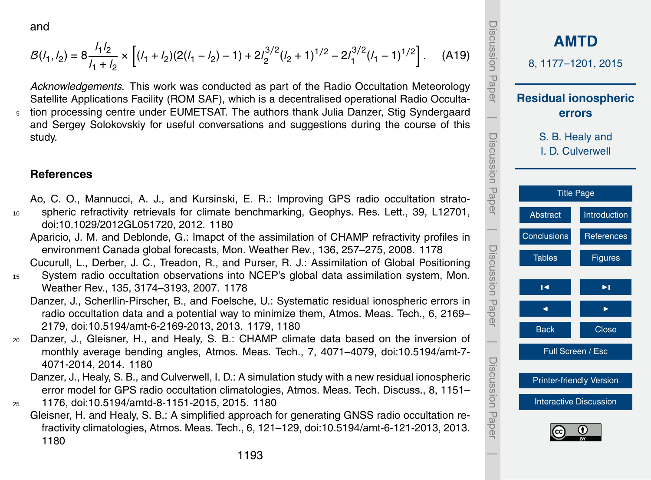<span id="page-16-0"></span>and

$$
\mathcal{B}(l_1, l_2) = 8 \frac{l_1 l_2}{l_1 + l_2} \times \left[ (l_1 + l_2)(2(l_1 - l_2) - 1) + 2l_2^{3/2}(l_2 + 1)^{1/2} - 2l_1^{3/2}(l_1 - 1)^{1/2} \right].
$$
 (A19)

*Acknowledgements.* This work was conducted as part of the Radio Occultation Meteorology Satellite Applications Facility (ROM SAF), which is a decentralised operational Radio Occulta-<sup>5</sup> tion processing centre under EUMETSAT. The authors thank Julia Danzer, Stig Syndergaard and Sergey Solokovskiy for useful conversations and suggestions during the course of this study.

#### **References**

- Ao, C. O., Mannucci, A. J., and Kursinski, E. R.: Improving GPS radio occultation strato-<sup>10</sup> spheric refractivity retrievals for climate benchmarking, Geophys. Res. Lett., 39, L12701, doi[:10.1029/2012GL051720,](http://dx.doi.org/10.1029/2012GL051720) 2012. [1180](#page-3-0)
	- Aparicio, J. M. and Deblonde, G.: Imapct of the assimilation of CHAMP refractivity profiles in environment Canada global forecasts, Mon. Weather Rev., 136, 257–275, 2008. [1178](#page-1-0)
- Cucurull, L., Derber, J. C., Treadon, R., and Purser, R. J.: Assimilation of Global Positioning <sup>15</sup> System radio occultation observations into NCEP's global data assimilation system, Mon. Weather Rev., 135, 3174–3193, 2007. [1178](#page-1-0)
	- Danzer, J., Scherllin-Pirscher, B., and Foelsche, U.: Systematic residual ionospheric errors in radio occultation data and a potential way to minimize them, Atmos. Meas. Tech., 6, 2169– 2179, doi[:10.5194/amt-6-2169-2013,](http://dx.doi.org/10.5194/amt-6-2169-2013) 2013. [1179,](#page-2-0) [1180](#page-3-0)
- <sup>20</sup> Danzer, J., Gleisner, H., and Healy, S. B.: CHAMP climate data based on the inversion of monthly average bending angles, Atmos. Meas. Tech., 7, 4071–4079, doi[:10.5194/amt-7-](http://dx.doi.org/10.5194/amt-7-4071-2014) [4071-2014,](http://dx.doi.org/10.5194/amt-7-4071-2014) 2014. [1180](#page-3-0)
	- Danzer, J., Healy, S. B., and Culverwell, I. D.: A simulation study with a new residual ionospheric error model for GPS radio occultation climatologies, Atmos. Meas. Tech. Discuss., 8, 1151–
- <sup>25</sup> 1176, doi[:10.5194/amtd-8-1151-2015,](http://dx.doi.org/10.5194/amtd-8-1151-2015) 2015. [1180](#page-3-0)
	- Gleisner, H. and Healy, S. B.: A simplified approach for generating GNSS radio occultation refractivity climatologies, Atmos. Meas. Tech., 6, 121–129, doi[:10.5194/amt-6-121-2013,](http://dx.doi.org/10.5194/amt-6-121-2013) 2013. [1180](#page-3-0)

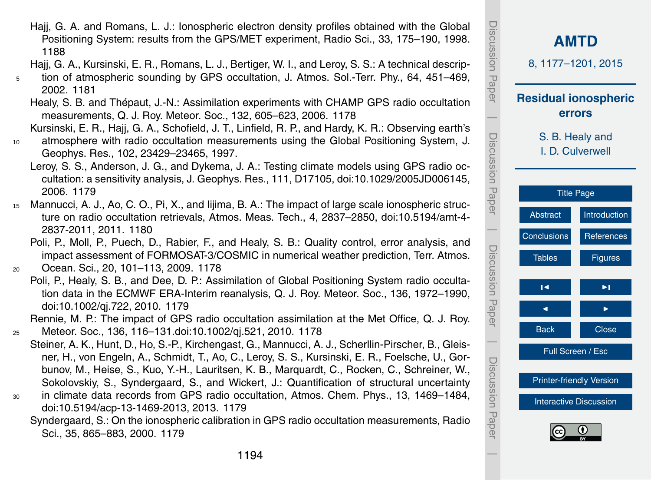- <span id="page-17-0"></span>Hajj, G. A. and Romans, L. J.: Ionospheric electron density profiles obtained with the Global Positioning System: results from the GPS/MET experiment, Radio Sci., 33, 175–190, 1998. [1188](#page-11-0)
- Hajj, G. A., Kursinski, E. R., Romans, L. J., Bertiger, W. I., and Leroy, S. S.: A technical descrip-
- <sup>5</sup> tion of atmospheric sounding by GPS occultation, J. Atmos. Sol.-Terr. Phy., 64, 451–469, 2002. [1181](#page-4-0)
	- Healy, S. B. and Thépaut, J.-N.: Assimilation experiments with CHAMP GPS radio occultation measurements, Q. J. Roy. Meteor. Soc., 132, 605–623, 2006. [1178](#page-1-0)
	- Kursinski, E. R., Hajj, G. A., Schofield, J. T., Linfield, R. P., and Hardy, K. R.: Observing earth's
- <sup>10</sup> atmosphere with radio occultation measurements using the Global Positioning System, J. Geophys. Res., 102, 23429–23465, 1997.
	- Leroy, S. S., Anderson, J. G., and Dykema, J. A.: Testing climate models using GPS radio occultation: a sensitivity analysis, J. Geophys. Res., 111, D17105, doi[:10.1029/2005JD006145,](http://dx.doi.org/10.1029/2005JD006145) 2006. [1179](#page-2-0)
- <sup>15</sup> Mannucci, A. J., Ao, C. O., Pi, X., and Iijima, B. A.: The impact of large scale ionospheric structure on radio occultation retrievals, Atmos. Meas. Tech., 4, 2837–2850, doi[:10.5194/amt-4-](http://dx.doi.org/10.5194/amt-4-2837-2011) [2837-2011,](http://dx.doi.org/10.5194/amt-4-2837-2011) 2011. [1180](#page-3-0)
	- Poli, P., Moll, P., Puech, D., Rabier, F., and Healy, S. B.: Quality control, error analysis, and impact assessment of FORMOSAT-3/COSMIC in numerical weather prediction, Terr. Atmos.
- <sup>20</sup> Ocean. Sci., 20, 101–113, 2009. [1178](#page-1-0)
	- Poli, P., Healy, S. B., and Dee, D. P.: Assimilation of Global Positioning System radio occultation data in the ECMWF ERA-Interim reanalysis, Q. J. Roy. Meteor. Soc., 136, 1972–1990, doi[:10.1002/qj.722,](http://dx.doi.org/10.1002/qj.722) 2010. [1179](#page-2-0)
- Rennie, M. P.: The impact of GPS radio occultation assimilation at the Met Office, Q. J. Roy. <sup>25</sup> Meteor. Soc., 136, 116–131.doi[:10.1002/qj.521,](http://dx.doi.org/10.1002/qj.521) 2010. [1178](#page-1-0)
	- Steiner, A. K., Hunt, D., Ho, S.-P., Kirchengast, G., Mannucci, A. J., Scherllin-Pirscher, B., Gleisner, H., von Engeln, A., Schmidt, T., Ao, C., Leroy, S. S., Kursinski, E. R., Foelsche, U., Gorbunov, M., Heise, S., Kuo, Y.-H., Lauritsen, K. B., Marquardt, C., Rocken, C., Schreiner, W., Sokolovskiy, S., Syndergaard, S., and Wickert, J.: Quantification of structural uncertainty
- <sup>30</sup> in climate data records from GPS radio occultation, Atmos. Chem. Phys., 13, 1469–1484, doi[:10.5194/acp-13-1469-2013,](http://dx.doi.org/10.5194/acp-13-1469-2013) 2013. [1179](#page-2-0)
	- Syndergaard, S.: On the ionospheric calibration in GPS radio occultation measurements, Radio Sci., 35, 865–883, 2000. [1179](#page-2-0)

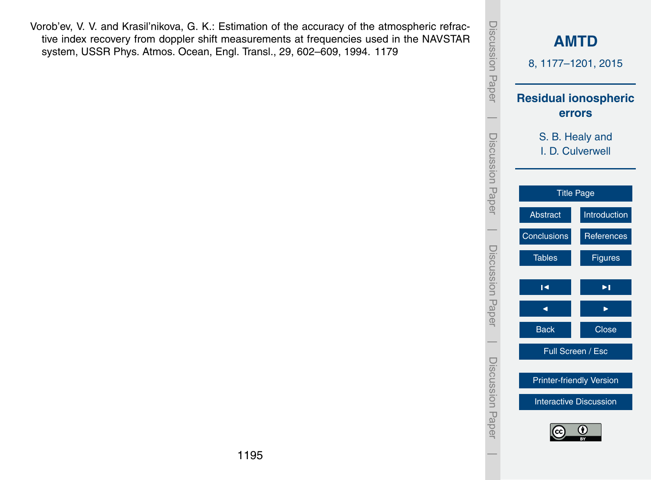<span id="page-18-0"></span>Vorob'ev, V. V. and Krasil'nikova, G. K.: Estimation of the accuracy of the atmospheric refractive index recovery from doppler shift measurements at frequencies used in the NAVSTAR system, USSR Phys. Atmos. Ocean, Engl. Transl., 29, 602–609, 1994. [1179](#page-2-0)

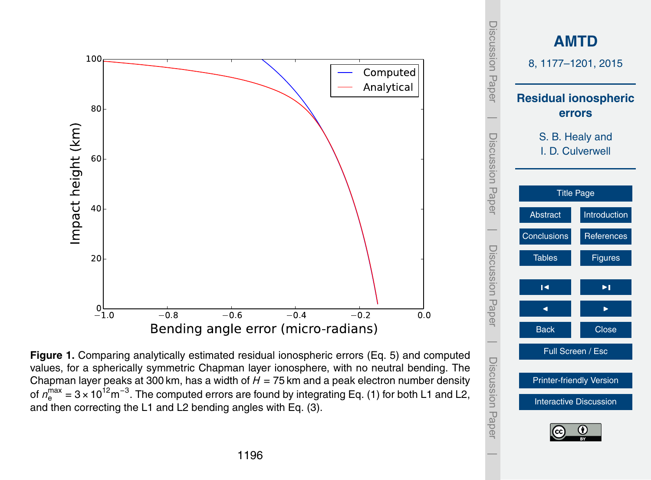<span id="page-19-0"></span>

[Printer-friendly Version](http://www.atmos-meas-tech-discuss.net/8/1177/2015/amtd-8-1177-2015-print.pdf) [Interactive Discussion](http://www.atmos-meas-tech-discuss.net/8/1177/2015/amtd-8-1177-2015-discussion.html)

 $\overline{\phantom{a}}$ 

Discussion Paper

**Figure 1.** Comparing analytically estimated residual ionospheric errors (Eq. [5\)](#page-6-0) and computed values, for a spherically symmetric Chapman layer ionosphere, with no neutral bending. The Chapman layer peaks at 300 km, has a width of *H* = 75 km and a peak electron number density of  $n_{\rm e}^{\rm max}$  = 3 × 10<sup>12</sup>m<sup>-3</sup>. The computed errors are found by integrating Eq. [\(1\)](#page-4-0) for both L1 and L2, and then correcting the L1 and L2 bending angles with Eq. [\(3\)](#page-5-0).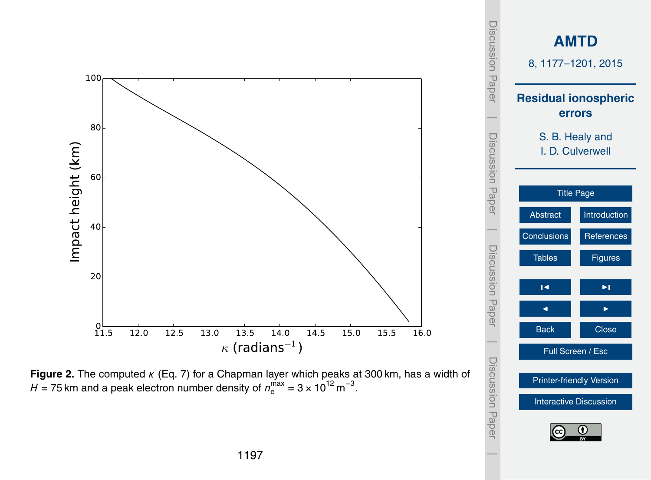<span id="page-20-0"></span>

[Printer-friendly Version](http://www.atmos-meas-tech-discuss.net/8/1177/2015/amtd-8-1177-2015-print.pdf) [Interactive Discussion](http://www.atmos-meas-tech-discuss.net/8/1177/2015/amtd-8-1177-2015-discussion.html)

**Figure 2.** The computed *κ* (Eq. [7\)](#page-8-0) for a Chapman layer which peaks at 300 km, has a width of  $H$  = 75 km and a peak electron number density of  $n_{\rm e}^{\rm max}$  = 3 × 10<sup>12</sup> m<sup>-3</sup>.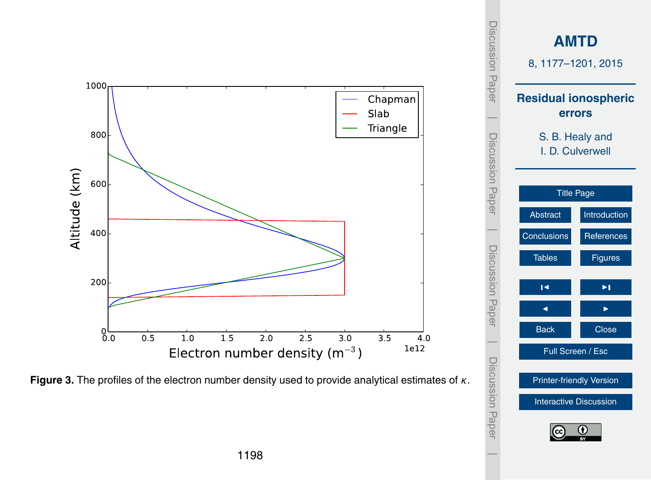<span id="page-21-0"></span>

[Interactive Discussion](http://www.atmos-meas-tech-discuss.net/8/1177/2015/amtd-8-1177-2015-discussion.html)

**Figure 3.** The profiles of the electron number density used to provide analytical estimates of *κ*.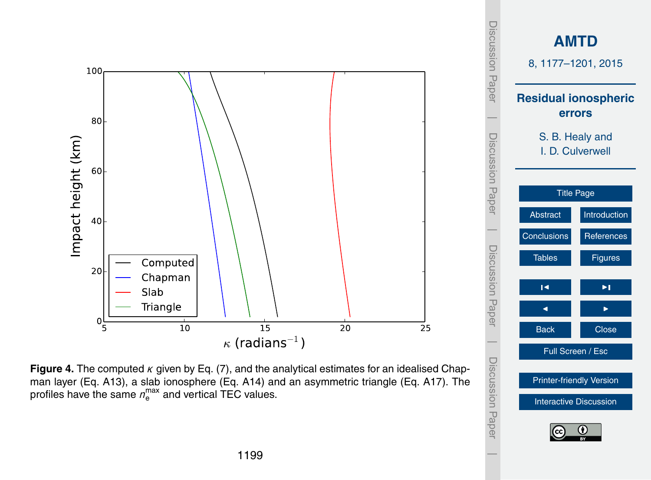<span id="page-22-0"></span>

[Printer-friendly Version](http://www.atmos-meas-tech-discuss.net/8/1177/2015/amtd-8-1177-2015-print.pdf)

[Interactive Discussion](http://www.atmos-meas-tech-discuss.net/8/1177/2015/amtd-8-1177-2015-discussion.html)

**Figure 4.** The computed *κ* given by Eq. [\(7\)](#page-8-0), and the analytical estimates for an idealised Chapman layer (Eq. [A13\)](#page-14-0), a slab ionosphere (Eq. [A14\)](#page-15-0) and an asymmetric triangle (Eq. [A17\)](#page-15-0). The profiles have the same  $n_{\mathrm{e}}^{\mathrm{max}}$  and vertical TEC values.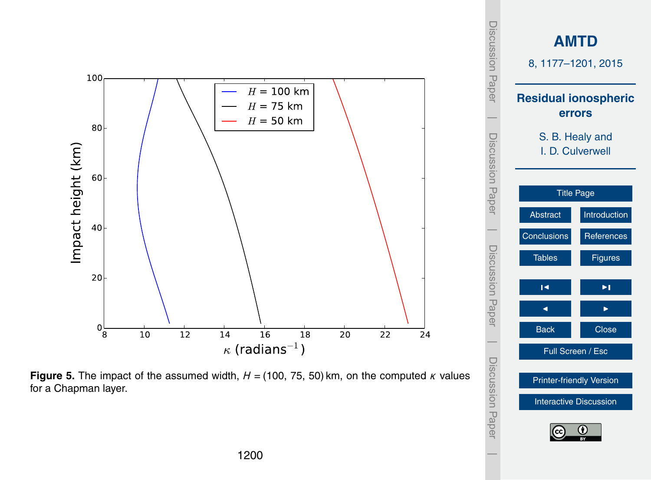<span id="page-23-0"></span>

[Printer-friendly Version](http://www.atmos-meas-tech-discuss.net/8/1177/2015/amtd-8-1177-2015-print.pdf)

[Interactive Discussion](http://www.atmos-meas-tech-discuss.net/8/1177/2015/amtd-8-1177-2015-discussion.html)

**Figure 5.** The impact of the assumed width,  $H = (100, 75, 50)$  km, on the computed  $\kappa$  values for a Chapman layer.